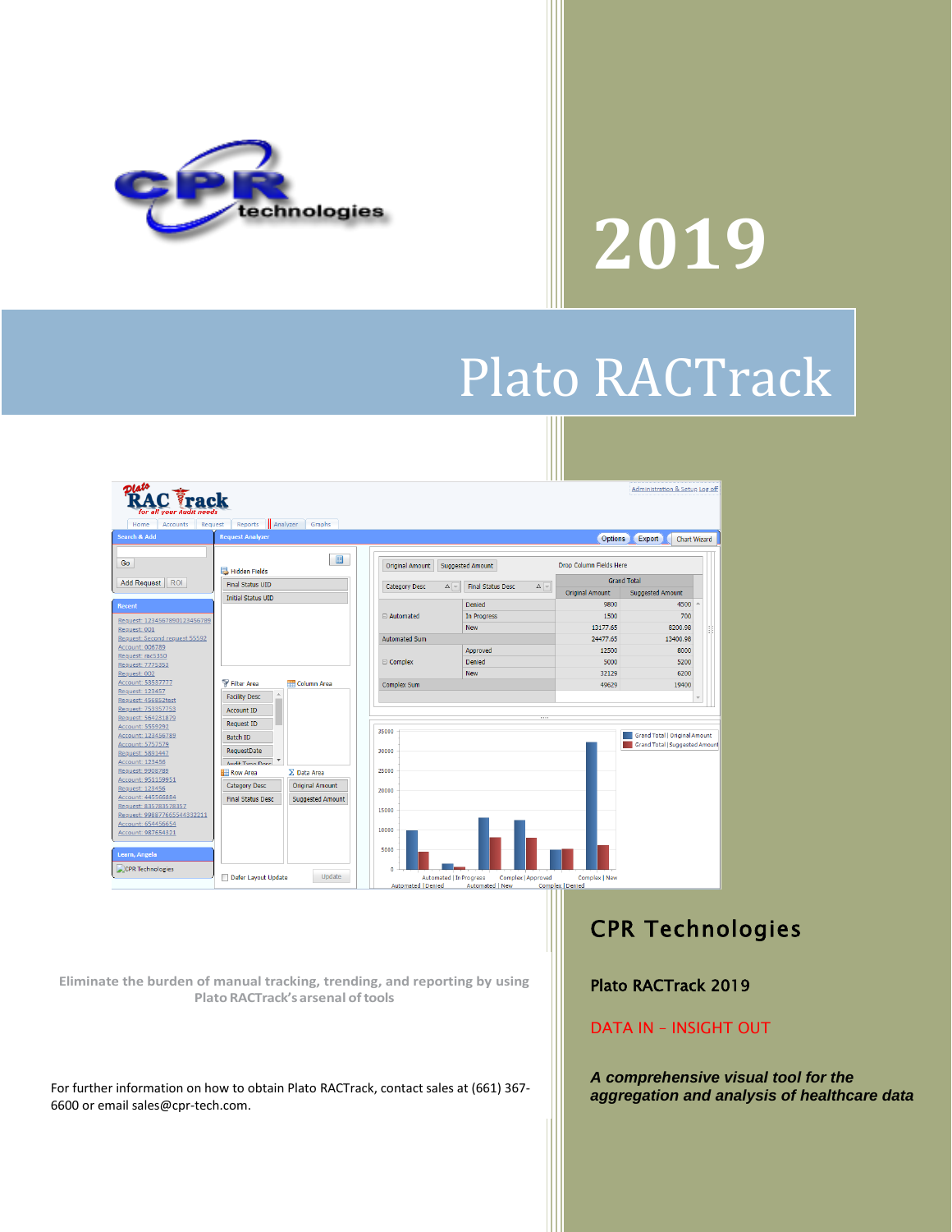

# **2019**

## Plato RACTrack



**Eliminate the burden of manual tracking, trending, and reporting by using PlatoRACTrack'sarsenal oftools**

For further information on how to obtain Plato RACTrack, contact sales at (661) 367- 6600 or email sales@cpr-tech.com.

#### CPR Technologies

Plato RACTrack 2019

#### DATA IN – INSIGHT OUT

*A comprehensive visual tool for the aggregation and analysis of healthcare data*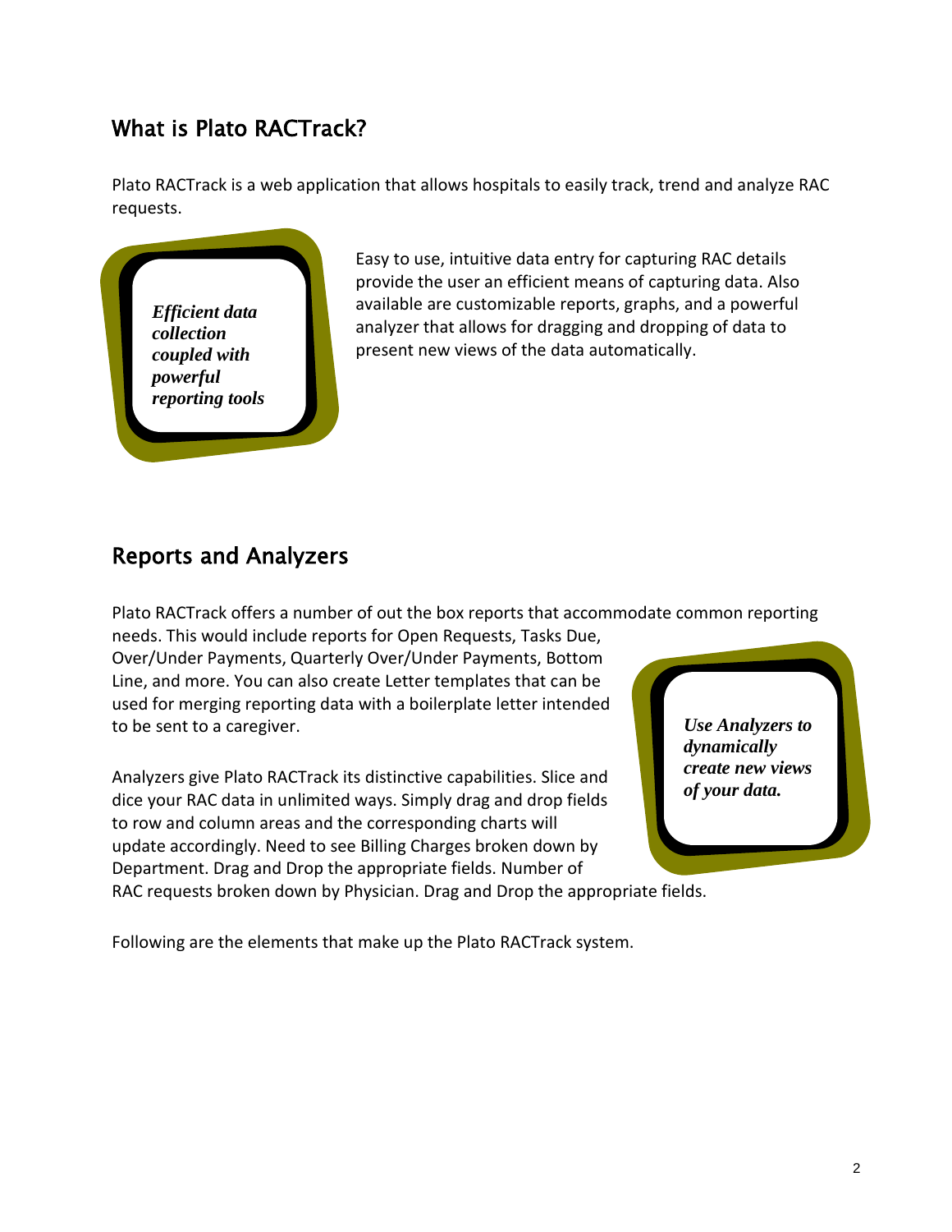#### What is Plato RACTrack?

Plato RACTrack is a web application that allows hospitals to easily track, trend and analyze RAC requests.



Easy to use, intuitive data entry for capturing RAC details provide the user an efficient means of capturing data. Also available are customizable reports, graphs, and a powerful analyzer that allows for dragging and dropping of data to present new views of the data automatically.

#### Reports and Analyzers

Plato RACTrack offers a number of out the box reports that accommodate common reporting

needs. This would include reports for Open Requests, Tasks Due, Over/Under Payments, Quarterly Over/Under Payments, Bottom Line, and more. You can also create Letter templates that can be used for merging reporting data with a boilerplate letter intended to be sent to a caregiver.

Analyzers give Plato RACTrack its distinctive capabilities. Slice and dice your RAC data in unlimited ways. Simply drag and drop fields to row and column areas and the corresponding charts will update accordingly. Need to see Billing Charges broken down by Department. Drag and Drop the appropriate fields. Number of

RAC requests broken down by Physician. Drag and Drop the appropriate fields.

Following are the elements that make up the Plato RACTrack system.

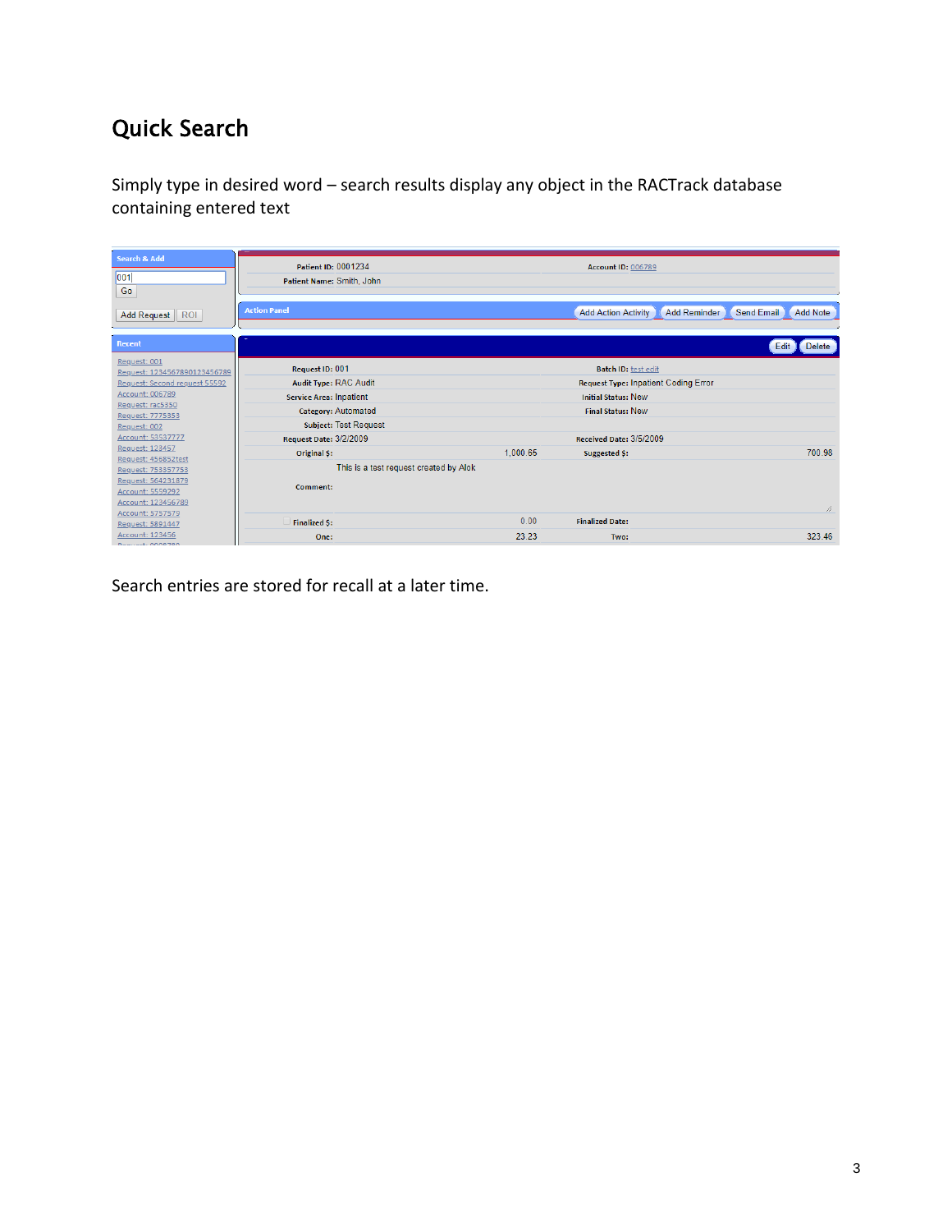#### Quick Search

Simply type in desired word – search results display any object in the RACTrack database containing entered text

| <b>Search &amp; Add</b><br>001<br>Go                                                                                          | Patient ID: 0001234<br>Patient Name: Smith, John |                                        | Account ID: 006789         |                                               |
|-------------------------------------------------------------------------------------------------------------------------------|--------------------------------------------------|----------------------------------------|----------------------------|-----------------------------------------------|
| <b>ROI</b><br><b>Add Request</b>                                                                                              | <b>Action Panel</b>                              |                                        | <b>Add Action Activity</b> | <b>Add Reminder</b><br>Send Email<br>Add Note |
| Recent                                                                                                                        |                                                  |                                        |                            | Edit<br><b>Delete</b>                         |
| Request: 001<br>Request: 1234567890123456789                                                                                  | Request ID: 001                                  |                                        | <b>Batch ID:</b> test edit |                                               |
| Request: Second request 55592                                                                                                 | Audit Type: RAC Audit                            |                                        |                            | <b>Request Type: Inpatient Coding Error</b>   |
| Account: 006789                                                                                                               | <b>Service Area: Inpatient</b>                   |                                        | <b>Initial Status: New</b> |                                               |
| Request: rac5350<br>Request: 7775353                                                                                          | Category: Automated                              |                                        | <b>Final Status: New</b>   |                                               |
| Request: 002                                                                                                                  | <b>Subject: Test Request</b>                     |                                        |                            |                                               |
| Account: 53537777                                                                                                             | <b>Request Date: 3/2/2009</b>                    |                                        | Received Date: 3/5/2009    |                                               |
| Request: 123457                                                                                                               | Original \$:                                     | 1.000.65                               | Suggested \$:              | 700.98                                        |
| Request: 456852test<br>Request: 753357753<br>Request: 564231879<br>Account: 5559292<br>Account: 123456789<br>Account: 5757579 | Comment:                                         | This is a test request created by Alok |                            | h                                             |
| Request: 5891447                                                                                                              | <b>Finalized \$:</b>                             | 0.00                                   | <b>Finalized Date:</b>     |                                               |
| Account: 123456<br>Boguart: 0000700                                                                                           | One:                                             | 23.23                                  | Two:                       | 323.46                                        |

Search entries are stored for recall at a later time.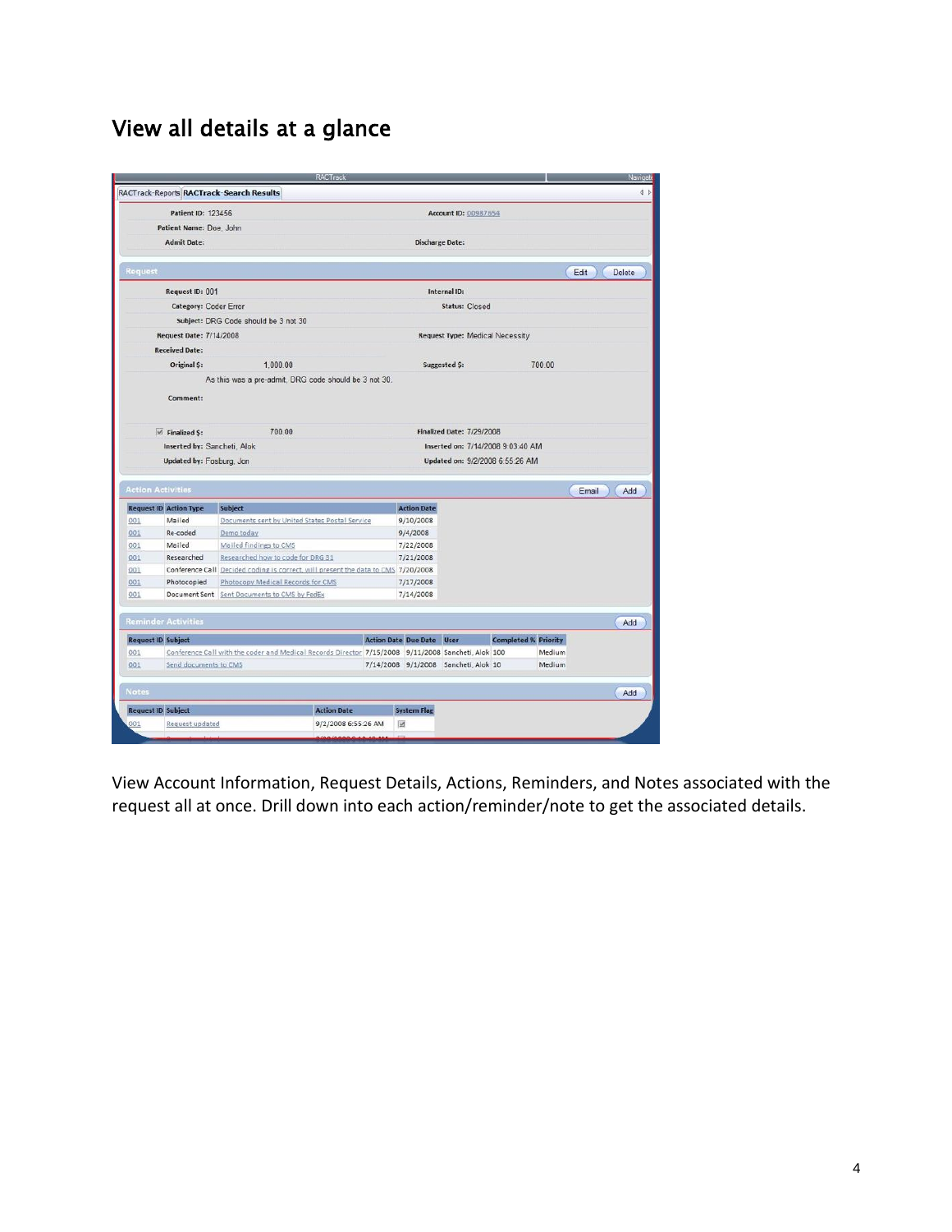### View all details at a glance

|                                      |                                                                                                    |                                                                                   | RACTrack            |  |                                  |                                        |                             |        |       | Naviga        |
|--------------------------------------|----------------------------------------------------------------------------------------------------|-----------------------------------------------------------------------------------|---------------------|--|----------------------------------|----------------------------------------|-----------------------------|--------|-------|---------------|
|                                      |                                                                                                    | RACTrack-Reports RACTrack-Search Results                                          |                     |  |                                  |                                        |                             |        |       | 4 b           |
|                                      | Patient ID: 123456                                                                                 |                                                                                   |                     |  |                                  | Account ID: 00987654                   |                             |        |       |               |
|                                      | Patient Name: Doe, John                                                                            |                                                                                   |                     |  |                                  |                                        |                             |        |       |               |
|                                      | <b>Admit Date:</b>                                                                                 |                                                                                   |                     |  | <b>Discharge Date:</b>           |                                        |                             |        |       |               |
|                                      |                                                                                                    |                                                                                   |                     |  |                                  |                                        |                             |        |       |               |
| Request                              |                                                                                                    |                                                                                   |                     |  |                                  |                                        |                             |        | Edit  | <b>Delete</b> |
|                                      | Request ID: 001                                                                                    |                                                                                   |                     |  |                                  | Internal ID:                           |                             |        |       |               |
|                                      | Category: Coder Error                                                                              |                                                                                   |                     |  |                                  | <b>Status: Closed</b>                  |                             |        |       |               |
|                                      |                                                                                                    | Subject: DRG Code should be 3 not 30                                              |                     |  |                                  |                                        |                             |        |       |               |
|                                      | Request Date: 7/14/2008                                                                            |                                                                                   |                     |  |                                  | <b>Request Type: Medical Necessity</b> |                             |        |       |               |
|                                      | <b>Received Date:</b>                                                                              |                                                                                   |                     |  |                                  |                                        |                             |        |       |               |
|                                      | Original \$:                                                                                       | 1,000.00                                                                          |                     |  |                                  | Suggested \$:                          |                             | 700.00 |       |               |
|                                      |                                                                                                    | As this was a pre-admit, DRG code should be 3 not 30.                             |                     |  |                                  |                                        |                             |        |       |               |
|                                      |                                                                                                    |                                                                                   |                     |  |                                  |                                        |                             |        |       |               |
|                                      | Comment:                                                                                           |                                                                                   |                     |  |                                  |                                        |                             |        |       |               |
|                                      |                                                                                                    |                                                                                   |                     |  |                                  |                                        |                             |        |       |               |
|                                      | $\Box$ Finalized S:                                                                                | 700.00                                                                            |                     |  |                                  | Finalized Date: 7/29/2008              |                             |        |       |               |
|                                      | Inserted by: Sancheti, Alok                                                                        |                                                                                   |                     |  |                                  | Inserted on: 7/14/2008 9:03:40 AM      |                             |        |       |               |
|                                      | Updated by: Fosburg, Jon                                                                           |                                                                                   |                     |  |                                  | Updated on: 9/2/2008 6:55:26 AM        |                             |        |       |               |
|                                      |                                                                                                    |                                                                                   |                     |  |                                  |                                        |                             |        |       |               |
| <b>Action Activities</b>             |                                                                                                    |                                                                                   |                     |  |                                  |                                        |                             |        | Email | Add           |
|                                      |                                                                                                    |                                                                                   |                     |  | <b>Action Date</b>               |                                        |                             |        |       |               |
| <b>Request ID Action Type</b><br>001 | Mailed                                                                                             | <b>Subject</b><br>Documents sent by United States Postal Service                  |                     |  | 9/10/2008                        |                                        |                             |        |       |               |
| 001                                  | Re-coded                                                                                           | Demo today                                                                        |                     |  | 9/4/2008                         |                                        |                             |        |       |               |
| 001                                  | Mailed                                                                                             | Mailed findings to CMS                                                            |                     |  | 7/22/2008                        |                                        |                             |        |       |               |
| 001                                  | Researched                                                                                         | Researched how to code for DRG 31                                                 |                     |  | 7/21/2008                        |                                        |                             |        |       |               |
| 001                                  |                                                                                                    | Conference Call Decided coding is correct, will present the data to CMS 7/20/2008 |                     |  |                                  |                                        |                             |        |       |               |
| 001                                  | Photocopied                                                                                        | Photocopy Medical Records for CMS                                                 |                     |  | 7/17/2008                        |                                        |                             |        |       |               |
| 001                                  |                                                                                                    | Document Sent Sent Documents to CMS by FedEx                                      |                     |  | 7/14/2008                        |                                        |                             |        |       |               |
|                                      |                                                                                                    |                                                                                   |                     |  |                                  |                                        |                             |        |       |               |
| <b>Reminder Activities</b>           |                                                                                                    |                                                                                   |                     |  |                                  |                                        |                             |        |       | Add           |
| <b>Request ID Subject</b>            |                                                                                                    |                                                                                   |                     |  | <b>Action Date Due Date User</b> |                                        | <b>Completed % Priority</b> |        |       |               |
| 001                                  | Conference Call with the coder and Medical Records Director 7/15/2008 9/11/2008 Sancheti, Alok 100 |                                                                                   |                     |  |                                  |                                        | Medium                      |        |       |               |
| 001                                  | Send documents to CMS                                                                              |                                                                                   |                     |  |                                  | 7/14/2008 9/1/2008 Sancheti, Alok 10   |                             | Medium |       |               |
| <b>Notes</b>                         |                                                                                                    |                                                                                   |                     |  |                                  |                                        |                             |        |       | Add           |
| <b>Request ID Subject</b>            |                                                                                                    |                                                                                   | <b>Action Date</b>  |  | <b>System Flag</b>               |                                        |                             |        |       |               |
|                                      |                                                                                                    |                                                                                   |                     |  |                                  |                                        |                             |        |       |               |
| 001                                  | Request updated                                                                                    |                                                                                   | 9/2/2008 6:55:26 AM |  | $\overline{\mathbb{M}}$          |                                        |                             |        |       |               |

View Account Information, Request Details, Actions, Reminders, and Notes associated with the request all at once. Drill down into each action/reminder/note to get the associated details.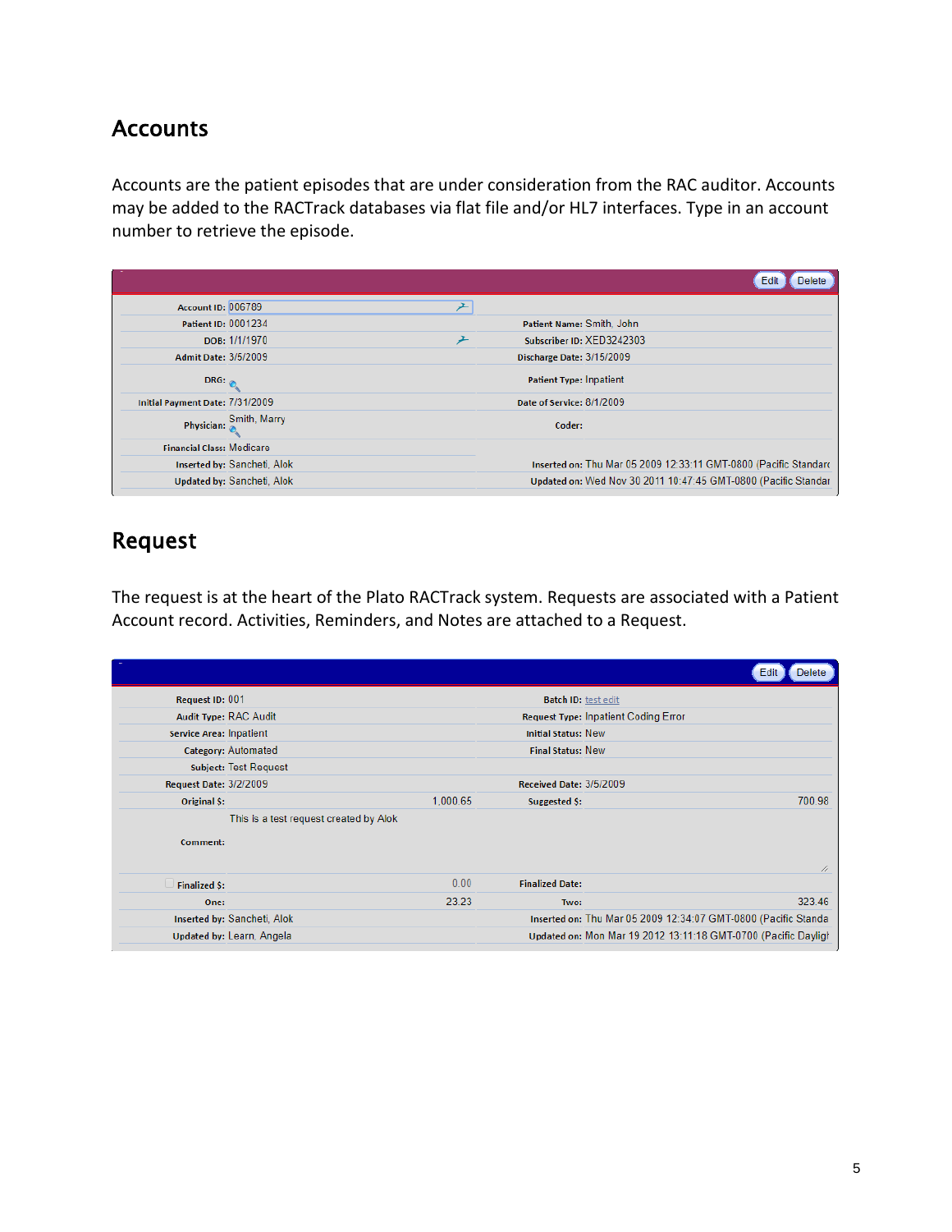#### **Accounts**

Accounts are the patient episodes that are under consideration from the RAC auditor. Accounts may be added to the RACTrack databases via flat file and/or HL7 interfaces. Type in an account number to retrieve the episode.

|                                  |                             |   |                                | Edit<br><b>Delete</b>                                            |
|----------------------------------|-----------------------------|---|--------------------------------|------------------------------------------------------------------|
| <b>Account ID: 006789</b>        |                             |   |                                |                                                                  |
| Patient ID: 0001234              |                             |   | Patient Name: Smith, John      |                                                                  |
|                                  | DOB: 1/1/1970               | 亠 |                                | Subscriber ID: XED3242303                                        |
| Admit Date: 3/5/2009             |                             |   | Discharge Date: 3/15/2009      |                                                                  |
| $DRG:_{\oslash}$                 |                             |   | <b>Patient Type: Inpatient</b> |                                                                  |
| Initial Payment Date: 7/31/2009  |                             |   | Date of Service: 8/1/2009      |                                                                  |
|                                  | Physician: Smith, Marry     |   | Coder:                         |                                                                  |
| <b>Financial Class: Medicare</b> |                             |   |                                |                                                                  |
|                                  | Inserted by: Sancheti, Alok |   |                                | Inserted on: Thu Mar 05 2009 12:33:11 GMT-0800 (Pacific Standard |
|                                  | Updated by: Sancheti, Alok  |   |                                | Updated on: Wed Nov 30 2011 10:47:45 GMT-0800 (Pacific Standar   |

#### Request

The request is at the heart of the Plato RACTrack system. Requests are associated with a Patient Account record. Activities, Reminders, and Notes are attached to a Request.

|                               |                                        |          |                            | Edit<br><b>Delete</b>                                          |
|-------------------------------|----------------------------------------|----------|----------------------------|----------------------------------------------------------------|
| Request ID: 001               |                                        |          | <b>Batch ID: test edit</b> |                                                                |
| Audit Type: RAC Audit         |                                        |          |                            | Request Type: Inpatient Coding Error                           |
| Service Area: Inpatient       |                                        |          | <b>Initial Status: New</b> |                                                                |
|                               | Category: Automated                    |          | <b>Final Status: New</b>   |                                                                |
|                               | Subject: Test Request                  |          |                            |                                                                |
| <b>Request Date: 3/2/2009</b> |                                        |          | Received Date: 3/5/2009    |                                                                |
| <b>Original S:</b>            |                                        | 1,000.65 | Suggested S:               | 700.98                                                         |
| Comment:                      | This is a test request created by Alok |          |                            | 4                                                              |
| <b>Finalized S:</b>           |                                        | 0.00     | <b>Finalized Date:</b>     |                                                                |
| One:                          |                                        | 23.23    | Two:                       | 323.46                                                         |
|                               | Inserted by: Sancheti, Alok            |          |                            | Inserted on: Thu Mar 05 2009 12:34:07 GMT-0800 (Pacific Standa |
|                               | Updated by: Learn, Angela              |          |                            | Updated on: Mon Mar 19 2012 13:11:18 GMT-0700 (Pacific Dayligh |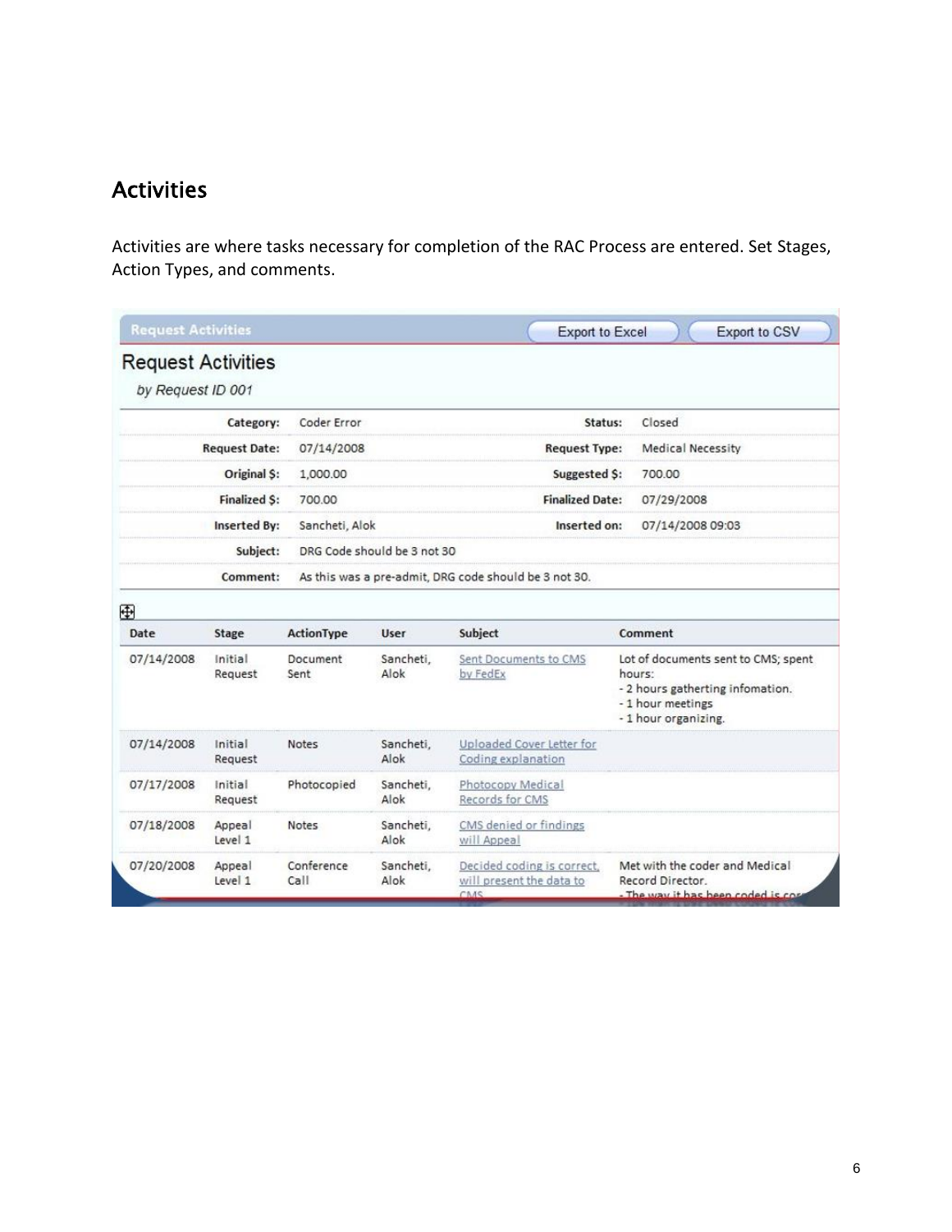#### Activities

Activities are where tasks necessary for completion of the RAC Process are entered. Set Stages, Action Types, and comments.

| <b>Request Activities</b>                      |                      |                    |                             |                                                                                                                                                                   | <b>Export to Excel</b><br><b>Export to CSV</b> |                 |                                                                     |
|------------------------------------------------|----------------------|--------------------|-----------------------------|-------------------------------------------------------------------------------------------------------------------------------------------------------------------|------------------------------------------------|-----------------|---------------------------------------------------------------------|
| <b>Request Activities</b><br>by Request ID 001 |                      |                    |                             |                                                                                                                                                                   |                                                |                 |                                                                     |
|                                                | Category:            | Coder Error        |                             | Status:                                                                                                                                                           |                                                | Closed          |                                                                     |
|                                                | <b>Request Date:</b> | 07/14/2008         |                             | <b>Request Type:</b>                                                                                                                                              |                                                |                 | <b>Medical Necessity</b>                                            |
|                                                | Original S:          | 1,000.00           |                             | Suggested S:                                                                                                                                                      |                                                | 700.00          |                                                                     |
|                                                | <b>Finalized S:</b>  | 700.00             |                             | <b>Finalized Date:</b>                                                                                                                                            |                                                | 07/29/2008      |                                                                     |
|                                                | <b>Inserted By:</b>  | Sancheti, Alok     |                             | Inserted on:                                                                                                                                                      |                                                |                 | 07/14/2008 09:03                                                    |
|                                                | Subject:             |                    | DRG Code should be 3 not 30 |                                                                                                                                                                   |                                                |                 |                                                                     |
|                                                | Comment:             |                    |                             | As this was a pre-admit, DRG code should be 3 not 30.                                                                                                             |                                                |                 |                                                                     |
| ⊕                                              |                      |                    |                             |                                                                                                                                                                   |                                                |                 |                                                                     |
| Date                                           | Stage                | ActionType         | User                        | Subject                                                                                                                                                           |                                                | Comment         |                                                                     |
| 07/14/2008                                     | Initial<br>Request   | Document<br>Sent   | Sancheti,<br>Alok           | Sent Documents to CMS<br>Lot of documents sent to CMS; spent<br>by FedEx<br>hours:<br>- 2 hours gatherting infomation.<br>-1 hour meetings<br>-1 hour organizing. |                                                |                 |                                                                     |
| 07/14/2008                                     | Initial<br>Request   | <b>Notes</b>       | Sancheti,<br>Alok           | Uploaded Cover Letter for<br>Coding explanation                                                                                                                   |                                                |                 |                                                                     |
| 07/17/2008                                     | Initial<br>Request   | Photocopied        | Sancheti,<br>Alok           | Photocopy Medical<br>Records for CMS                                                                                                                              |                                                |                 |                                                                     |
| 07/18/2008                                     | Appeal<br>Level 1    | <b>Notes</b>       | Sancheti,<br>Alok           | CMS denied or findings<br>will Appeal                                                                                                                             |                                                |                 |                                                                     |
| 07/20/2008                                     | Appeal<br>Level 1    | Conference<br>Call | Sancheti.<br>Alok           | Decided coding is correct.<br>will present the data to<br>CAAS                                                                                                    |                                                | Record Director | Met with the coder and Medical<br>The way it has heen coded is cost |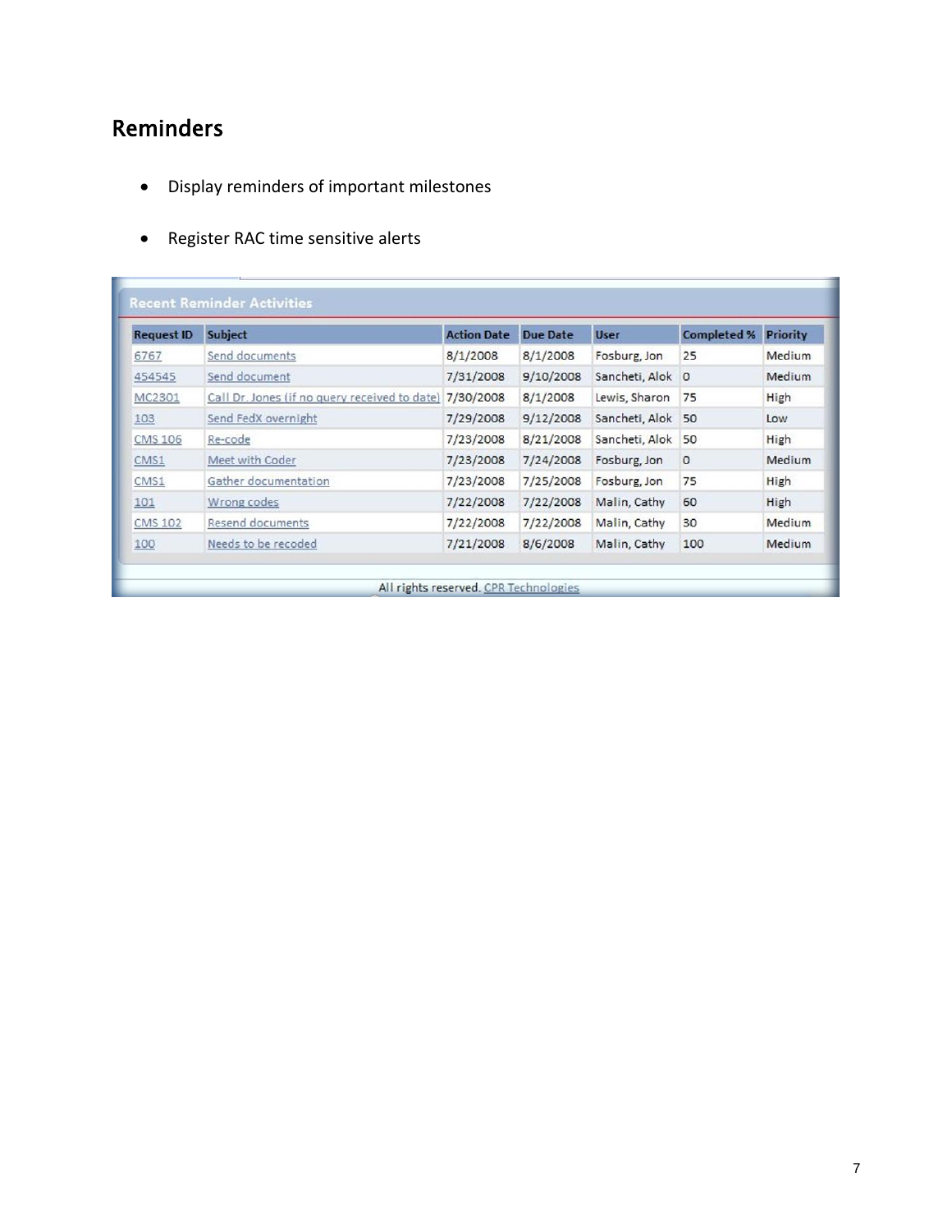#### Reminders

- Display reminders of important milestones
- Register RAC time sensitive alerts

| <b>Request ID</b> | <b>Subject</b>                                | <b>Action Date</b> | <b>Due Date</b> | <b>User</b>    | <b>Completed %</b> | <b>Priority</b> |
|-------------------|-----------------------------------------------|--------------------|-----------------|----------------|--------------------|-----------------|
| 6767              | Send documents                                | 8/1/2008           | 8/1/2008        | Fosburg, Jon   | 25                 | Medium          |
| 454545            | Send document                                 | 7/31/2008          | 9/10/2008       | Sancheti, Alok | $\circ$            | Medium          |
| MC2301            | Call Dr. Jones (if no query received to date) | 7/30/2008          | 8/1/2008        | Lewis, Sharon  | 75                 | High            |
| 103               | Send FedX overnight                           | 7/29/2008          | 9/12/2008       | Sancheti, Alok | 50                 | Low             |
| <b>CMS 106</b>    | Re-code                                       | 7/23/2008          | 8/21/2008       | Sancheti, Alok | 50                 | High            |
| CMS1              | Meet with Coder                               | 7/23/2008          | 7/24/2008       | Fosburg, Jon   | $\circ$            | Medium          |
| CMS1              | Gather documentation                          | 7/23/2008          | 7/25/2008       | Fosburg, Jon   | 75                 | High            |
| 101               | Wrong codes                                   | 7/22/2008          | 7/22/2008       | Malin, Cathy   | 60                 | High            |
| <b>CMS 102</b>    | Resend documents                              | 7/22/2008          | 7/22/2008       | Malin, Cathy   | 30                 | Medium          |
| 100               | Needs to be recoded                           | 7/21/2008          | 8/6/2008        | Malin, Cathy   | 100                | Medium          |

7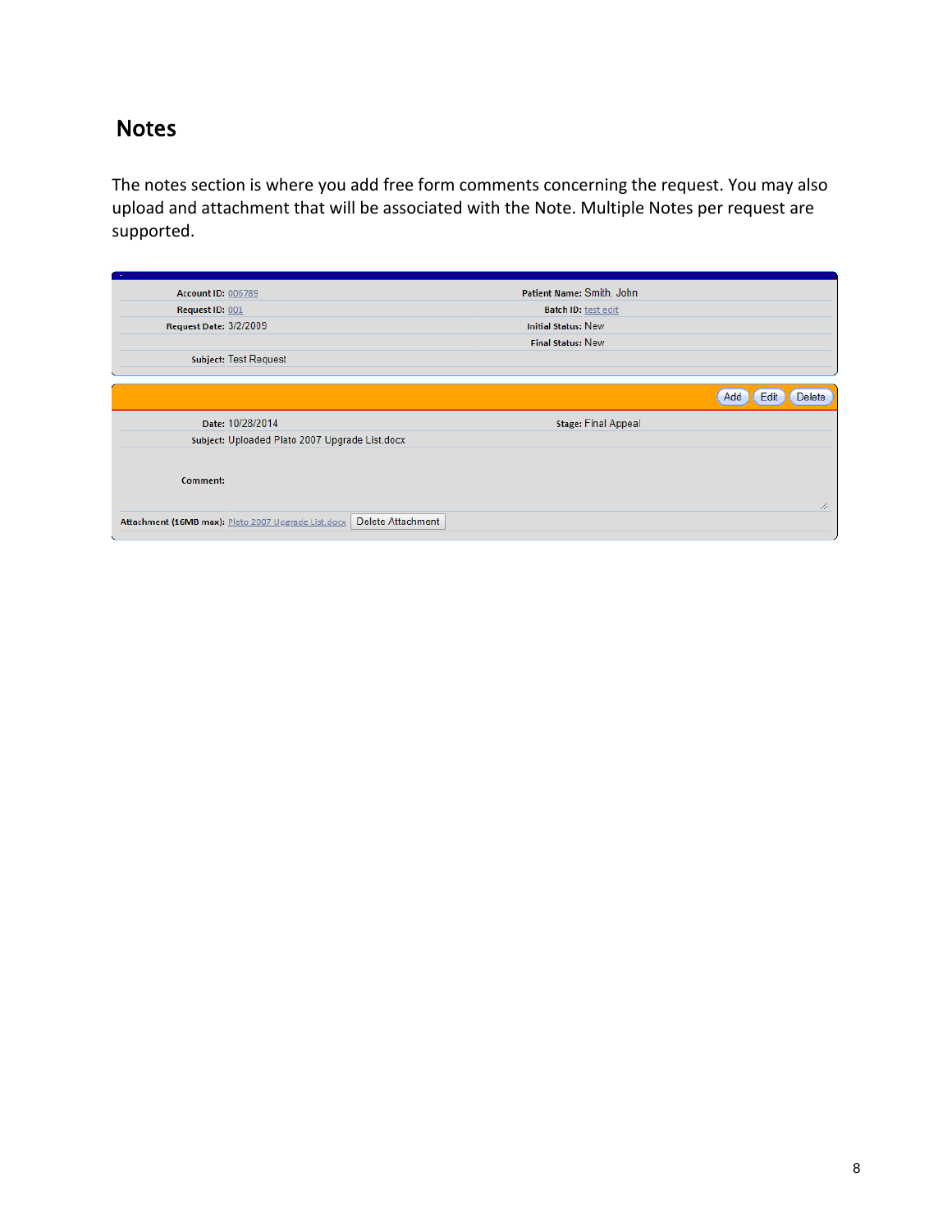#### Notes

The notes section is where you add free form comments concerning the request. You may also upload and attachment that will be associated with the Note. Multiple Notes per request are supported.

| <b>Account ID: 006789</b> |                                                     |                   | Patient Name: Smith, John  |                            |                       |
|---------------------------|-----------------------------------------------------|-------------------|----------------------------|----------------------------|-----------------------|
| Request ID: 001           |                                                     |                   | Batch ID: test edit        |                            |                       |
| Request Date: 3/2/2009    |                                                     |                   | <b>Initial Status: New</b> |                            |                       |
|                           |                                                     |                   | <b>Final Status: New</b>   |                            |                       |
|                           | <b>Subject: Test Request</b>                        |                   |                            |                            |                       |
|                           |                                                     |                   |                            |                            |                       |
|                           |                                                     |                   |                            |                            | Delete<br>Add<br>Edit |
|                           | Date: 10/28/2014                                    |                   |                            | <b>Stage: Final Appeal</b> |                       |
|                           | Subject: Uploaded Plato 2007 Upgrade List.docx      |                   |                            |                            |                       |
| Comment:                  |                                                     |                   |                            |                            |                       |
|                           | Attachment (16MB max): Plato 2007 Upgrade List.docx | Delete Attachment |                            |                            | 4                     |
|                           |                                                     |                   |                            |                            |                       |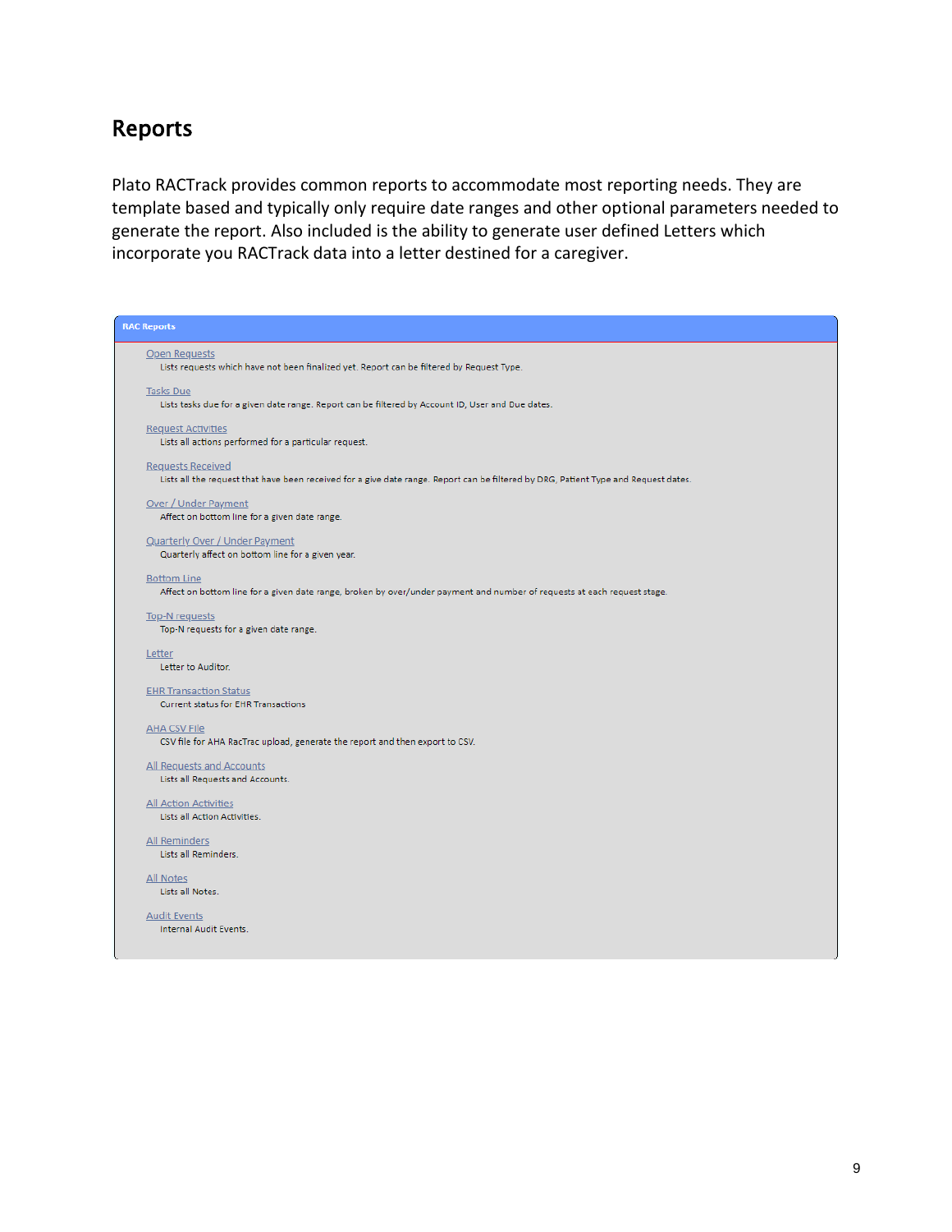#### Reports

Plato RACTrack provides common reports to accommodate most reporting needs. They are template based and typically only require date ranges and other optional parameters needed to generate the report. Also included is the ability to generate user defined Letters which incorporate you RACTrack data into a letter destined for a caregiver.

| <b>RAC Reports</b>                                                                                                                                              |
|-----------------------------------------------------------------------------------------------------------------------------------------------------------------|
| Open Requests<br>Lists requests which have not been finalized yet. Report can be filtered by Request Type.                                                      |
| <b>Tasks Due</b><br>Lists tasks due for a given date range. Report can be filtered by Account ID, User and Due dates.                                           |
| <b>Request Activities</b><br>Lists all actions performed for a particular request.                                                                              |
| <b>Requests Received</b><br>Lists all the request that have been received for a give date range. Report can be filtered by DRG, Patient Type and Request dates. |
| Over / Under Payment<br>Affect on bottom line for a given date range.                                                                                           |
| <b>Quarterly Over / Under Payment</b><br>Quarterly affect on bottom line for a given year.                                                                      |
| <b>Bottom Line</b><br>Affect on bottom line for a given date range, broken by over/under payment and number of requests at each request stage.                  |
| <b>Top-N</b> requests<br>Top-N requests for a given date range.                                                                                                 |
| Letter<br>Letter to Auditor.                                                                                                                                    |
| <b>EHR Transaction Status</b><br><b>Current status for EHR Transactions</b>                                                                                     |
| <b>AHA CSV File</b><br>CSV file for AHA RacTrac upload, generate the report and then export to CSV.                                                             |
| All Requests and Accounts<br>Lists all Requests and Accounts.                                                                                                   |
| <b>All Action Activities</b><br>Lists all Action Activities.                                                                                                    |
| All Reminders<br>Lists all Reminders.                                                                                                                           |
| All Notes<br>Lists all Notes.                                                                                                                                   |
| <b>Audit Events</b><br>Internal Audit Events.                                                                                                                   |
|                                                                                                                                                                 |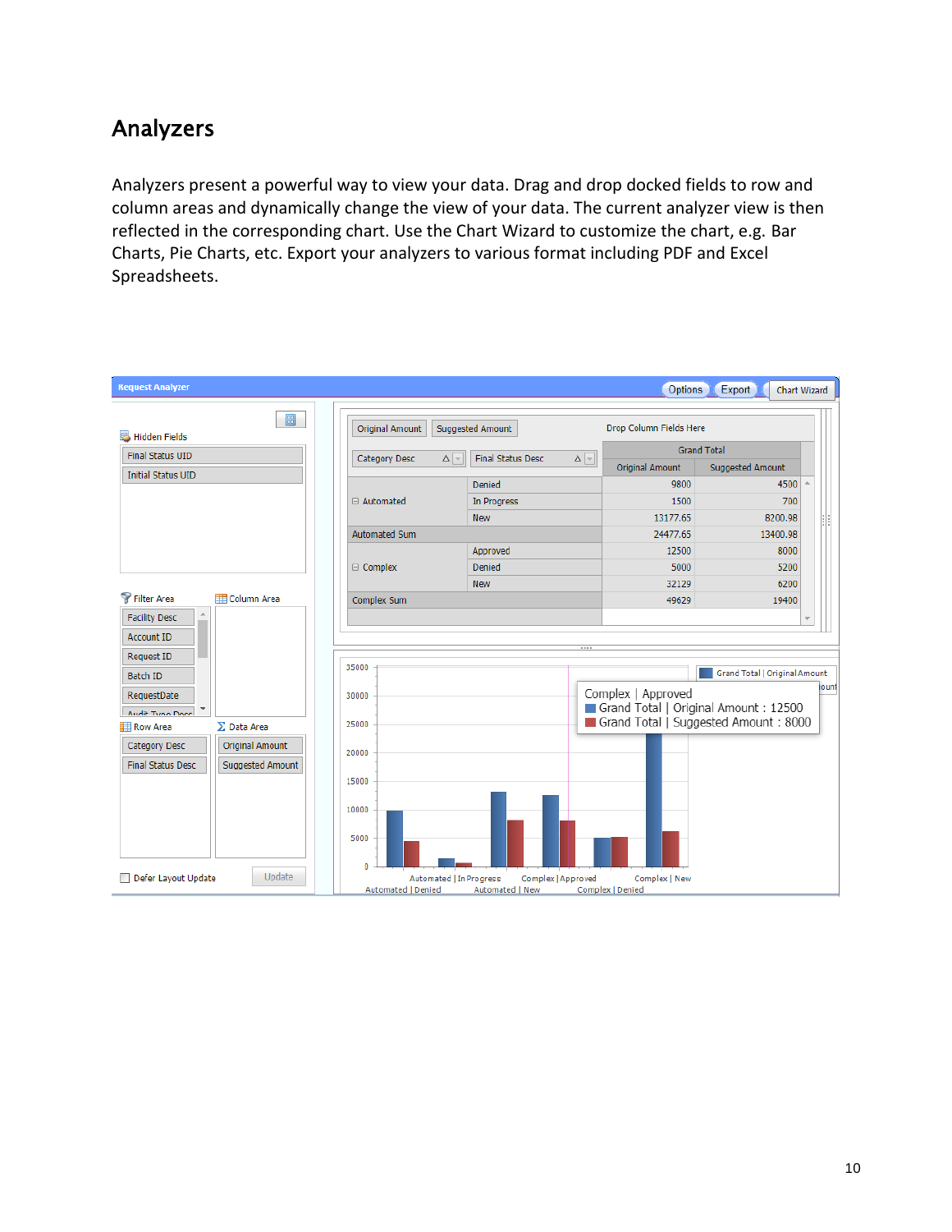#### Analyzers

Analyzers present a powerful way to view your data. Drag and drop docked fields to row and column areas and dynamically change the view of your data. The current analyzer view is then reflected in the corresponding chart. Use the Chart Wizard to customize the chart, e.g. Bar Charts, Pie Charts, etc. Export your analyzers to various format including PDF and Excel Spreadsheets.